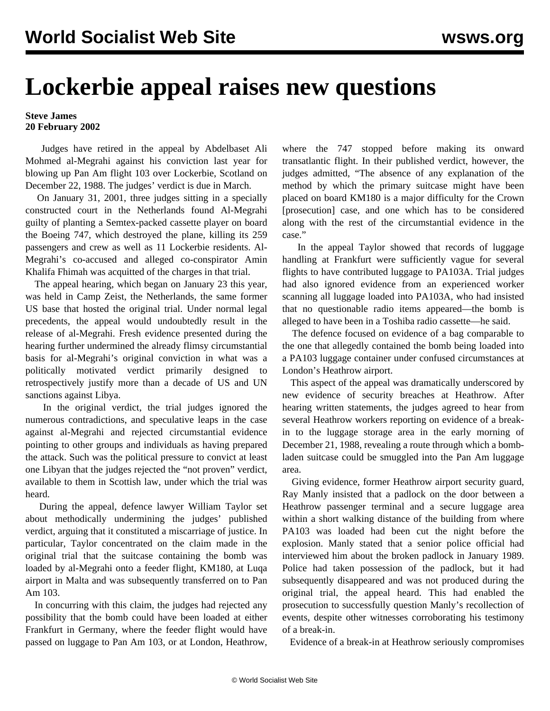## **Lockerbie appeal raises new questions**

## **Steve James 20 February 2002**

 Judges have retired in the appeal by Abdelbaset Ali Mohmed al-Megrahi against his conviction last year for blowing up Pan Am flight 103 over Lockerbie, Scotland on December 22, 1988. The judges' verdict is due in March.

 On January 31, 2001, three judges sitting in a specially constructed court in the Netherlands found Al-Megrahi guilty of planting a Semtex-packed cassette player on board the Boeing 747, which destroyed the plane, killing its 259 passengers and crew as well as 11 Lockerbie residents. Al-Megrahi's co-accused and alleged co-conspirator Amin Khalifa Fhimah was acquitted of the charges in that trial.

 The appeal hearing, which began on January 23 this year, was held in Camp Zeist, the Netherlands, the same former US base that hosted the original trial. Under normal legal precedents, the appeal would undoubtedly result in the release of al-Megrahi. Fresh evidence presented during the hearing further undermined the already flimsy circumstantial basis for al-Megrahi's original conviction in what was a politically motivated verdict primarily designed to retrospectively justify more than a decade of US and UN sanctions against Libya.

 In the original verdict, the trial judges ignored the numerous contradictions, and speculative leaps in the case against al-Megrahi and rejected circumstantial evidence pointing to other groups and individuals as having prepared the attack. Such was the political pressure to convict at least one Libyan that the judges rejected the "not proven" verdict, available to them in Scottish law, under which the trial was heard.

 During the appeal, defence lawyer William Taylor set about methodically undermining the judges' published verdict, arguing that it constituted a miscarriage of justice. In particular, Taylor concentrated on the claim made in the original trial that the suitcase containing the bomb was loaded by al-Megrahi onto a feeder flight, KM180, at Luqa airport in Malta and was subsequently transferred on to Pan Am 103.

 In concurring with this claim, the judges had rejected any possibility that the bomb could have been loaded at either Frankfurt in Germany, where the feeder flight would have passed on luggage to Pan Am 103, or at London, Heathrow, where the 747 stopped before making its onward transatlantic flight. In their published verdict, however, the judges admitted, "The absence of any explanation of the method by which the primary suitcase might have been placed on board KM180 is a major difficulty for the Crown [prosecution] case, and one which has to be considered along with the rest of the circumstantial evidence in the case."

 In the appeal Taylor showed that records of luggage handling at Frankfurt were sufficiently vague for several flights to have contributed luggage to PA103A. Trial judges had also ignored evidence from an experienced worker scanning all luggage loaded into PA103A, who had insisted that no questionable radio items appeared—the bomb is alleged to have been in a Toshiba radio cassette—he said.

 The defence focused on evidence of a bag comparable to the one that allegedly contained the bomb being loaded into a PA103 luggage container under confused circumstances at London's Heathrow airport.

 This aspect of the appeal was dramatically underscored by new evidence of security breaches at Heathrow. After hearing written statements, the judges agreed to hear from several Heathrow workers reporting on evidence of a breakin to the luggage storage area in the early morning of December 21, 1988, revealing a route through which a bombladen suitcase could be smuggled into the Pan Am luggage area.

 Giving evidence, former Heathrow airport security guard, Ray Manly insisted that a padlock on the door between a Heathrow passenger terminal and a secure luggage area within a short walking distance of the building from where PA103 was loaded had been cut the night before the explosion. Manly stated that a senior police official had interviewed him about the broken padlock in January 1989. Police had taken possession of the padlock, but it had subsequently disappeared and was not produced during the original trial, the appeal heard. This had enabled the prosecution to successfully question Manly's recollection of events, despite other witnesses corroborating his testimony of a break-in.

Evidence of a break-in at Heathrow seriously compromises